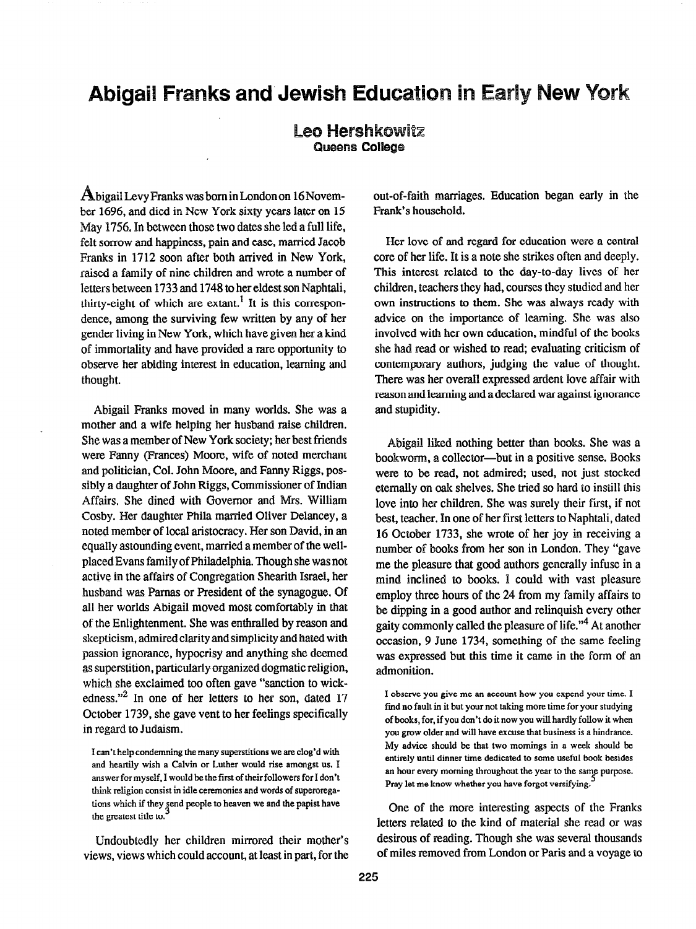## Abigail Franks and Jewish Education in Early New York

## **Leo Hershkowitz<br>Queens College**

bigail Levy Franks was born in London on 16November 1696, and died in New York sixty years later on 15 May I756. In between those two dates she led a full life, felt sorrow and happiness, pain and ease, married Jacob Franks in 1712 soon after both arrived in New York, raised a family of nine children and wrote a number of letters between 1733 and 1748 to her eldest son Naphtali, thirty-eight of which are extant.<sup>1</sup> It is this correspondence, among the surviving few written by any of her gender living in New York, which have given her a kind of immortality and have provided a rare opportunity to observe her abiding interest in education, learning and thought.

Abigail Franks moved in many worlds. She was a mother and a wife helping her husband raise children. She was a member of New York society; her best friends were Fanny (Frances) Moore, wife of noted merchant and politician, Col. John Moore, and Fanny Riggs, possibly a daughter of John Riggs, Commissioner of Indian Affairs. She dined with Governor and Mrs. William Cosby. Her daughter Phila married Oliver Delancey, a noted member of local aristocracy. Her son David, in an equally astounding event, married a member of the wellplaced Evans family of Philadelphia. Though she was not active in the affairs of Congregation Shearith Israel, her husband was Pamas or President of the synagogue. Of all her worlds Abigail moved most comfortably in that of the Enlightenment. She was enthralled by reason and skepticism, admired clarity and simplicity and hated with passion ignorance, hypocrisy and anything she deemed as superstition, particularly organized dogmatic religion, which she exclaimed too often gave "sanction to wickedness."<sup>2</sup> In one of her letters to her son, dated 17 October 1739, she gave vent to her feelings specifically in regard to Judaism.

I can't help condemning the many superstitions we are clog'd with and heartily wish a Calvin or Luther would rise amongst us. I answer for myself, I would be the first of their followers for I don't think religion consist in idle ceremonies and words of superoregations which if they gend people to heaven we and the papist have the greatest title to.

Undoubtedly her children mirrored their mother's views, views which could account, at least in part, for the out-of-faith marriages. Education began early in the Frank's household.

Her love of and regard for education were a central core of her life. It is a note she strikes often and deeply. This interest related to the day-to-day lives of her children, teachers they had, courses they studied and her own instructions to them. She was always ready with advice on the importance of learning. She was also involved with her own education, mindful of the books she had read or wished to read; evaluating criticism of contemporary authors, judging the value of thought. There was her overall expressed ardent love affair with reason and learning and a declared war against ignorance and stupidity.

Abigail liked nothing better than books. She was a bookworm, a collector-but in a positive sense. Books were to be read, not admired; used, not just stocked eternally on oak shelves. She tried so hard to instill this love into her children. She was surely their first, if not best, teacher. In one of her first letters to Naphtali, dated 16 October 1733, she wrote of her joy in receiving a number of books from her son in London. They "gave me the pleasure that good authors generally infuse in a mind inclined to books. I could with vast pleasure employ three hours of the 24 from my family affairs to be dipping in a good author and relinquish every other gaity commonly called the pleasure of life."4 At another occasion, 9 June 1734, something of the same feeling was expressed but this time it came in the form of an admonition.

I observe you give me an sccount how you expend your time. I find no fault in it but your not taking more time for your studying of books, for, if you don't do it now you will hardly follow it when you grow older and will have excuse that business is a hindrance. My advice should be that two mornings in a week should be entirely until dinner time dedicated to some useful book besides an hour every morning throughout the year to the same purpose. Pray let me know whether you have forgot versifying.

One of the more interesting aspects of the Franks letters related to the kind of material she read or was desirous of reading. Though she was several thousands of miles removed from London or Paris and a voyage to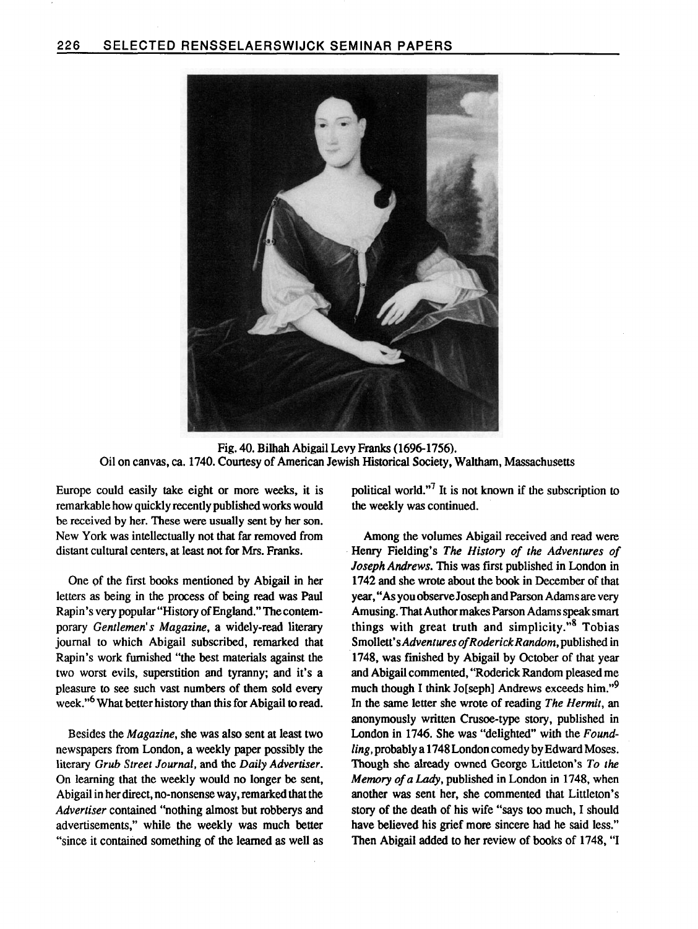

Fig. 40. Bilhah Abigail Levy Franks (1696-1756). Oil on canvas, ca. 1740. Courtesy of American Jewish Historical Society, Waltham, Massachusetts

Europe could easily take eight or more weeks, it is remarkable how quickly recently published works would be received by her. These were usually sent by her son. New York was intellectually not that far removed from distant cultural centers, at least not for Mrs. Franks.

One of the first books mentioned by Abigail in her letters as being in the process of being read was Paul Rapin's very popular "History of England." The contemporary Gentlemen's Magazine, a widely-read literary journal to which Abigail subscribed, remarked that Rapin's work furnished "the best materials against the two worst evils, superstition and tyranny; and it's a pleasure to see such vast numbers of them sold every week."<sup>6</sup> What better history than this for Abigail to read.

Besides the Magazine, she was also sent at least two newspapers from London, a weekly paper possibly the literary Grub Street Journal, and the Daily Advertiser. On learning that the weekly would no longer be sent, Abigail in her direct, no-nonsense way, remarked that the Advertiser contained "nothing almost but robberys and advertisements," while the weekly was much better "since it contained something of the learned as well as political world."7 It is not known if the subscription to the weekly was continued.

Among the volumes Abigail received and read were Henry Fielding's The History of the Adventures of Joseph Andrews. This was first published in London in 1742 and she wrote about the book in December of that year, "As you observe Joseph and Parson Adams are very Amusing. That Author makes Parson Adams speak smart things with great truth and simplicity."<sup>8</sup> Tobias Smollett's Adventures of Roderick Random, published in 1748, was finished by Abigail by October of that year and Abigail commented, "'Roderick Random pleased me much though I think Jo[seph] Andrews exceeds him."<sup>9</sup> In the same letter she wrote of reading The Hermit, an anonymously written Crusoe-type story, published in London in 1746. She was "delighted" with the Foundling, probably a 1748 London comedy by Edward Moses. Though she already owned George Littleton's To the Memory of a Lady, published in London in 1748, when another was sent her, she commented that Littleton's story of the death of his wife "says too much, I should have believed his grief more sincere had he said less." Then Abigail added to her review of boolks of 1748, "I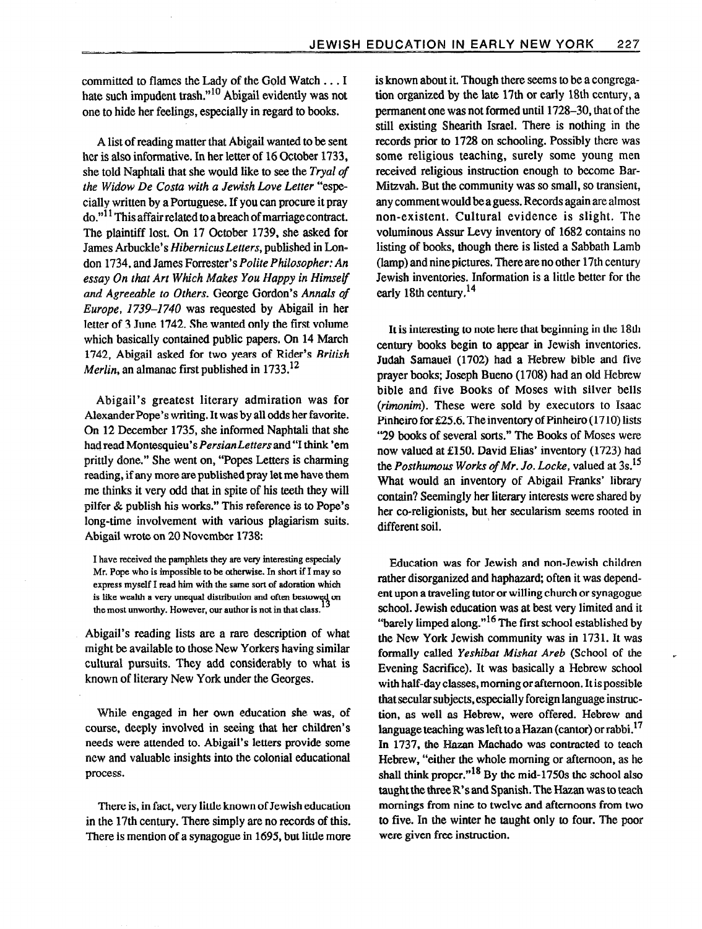committed to flames the Lady of the Gold Watch . . . I hate such impudent trash."<sup>10</sup> Abigail evidently was not one to hide her feelings, especially in regard to books.

A list of reading matter that Abigail wanted to be sent her is also informative. In her letter of 16 October 1733, she told Naphtali that she would like to see the Tryal of the Widow De Costa with a Jewish Love Letter "especially written by a Portuguese. If you can procure it pray  $\alpha$ <sup>"11</sup> This affair related to a breach of marriage contract. The plaintiff lost. On 17 October 1739, she asked for James Arbuckle's Hibernicus Letters, published in London 1734, and James Forrester's Polite Philosopher: An essay On that Art Which Makes You Happy in Himself and Agreeable to Others. George Gordon's Annals of Europe, 1739-1740 was requested by Abigail in her letter of 3 June 1742. She wanted only the first volume which basically contained public papers. On 14 March 1742, Abigail asked for two years of Rider's British *Merlin*, an almanac first published in  $1733$ <sup>12</sup>

Abigail's greatest literary admiration was for Alexander Pope's writing. It was by all odds her favorite. On 12 December 1735, she informed Naphtali that she had read Montesquieu's Persian Letters and "I think 'em prittly done." She went on, "Popes Letters is charming reading, if any more are published pray let me have them me thinks it very odd that in spite of his teeth they will pilfer & publish his works." This reference is to Pope's long-time involvement with various plagiarism suits. Abigail wrote on 20 November 1738:

I have received the pamphlets they are very interesting especialy Mr. Pope who is impossible to be otherwise. In short if I may so express myself I read him with the same sort of adoration which is like wealth a very unequal distribution and often bestowed on the most unworthy. However, our author is not in that class.

Abigail's reading lists are a rare description of what might be available to those New Yorkers having similar cultural pursuits. They add considerably to what is known of literary New York under the Georges.

While engaged in her own education she was, of course, deeply involved in seeing that her children's needs were attended to. Abigail's letters provide some new and valuable insights into the colonial educational process.

There is, in fact, very little known of Jewish education in the 17th century. There simply are no records of this. There is mention of a synagogue in 1695, but little more is known about it. Though there seems to be a congregation organized by the late 17th or early 18th century, a permanent one was not formed until 1728-30, that of the still existing Shearith Israel. There is nothing in the records prior to 1728 on schooling. Possibly there was some religious teaching, surely some young men received religious instruction enough to become Bar-Mitzvah. But the community was so small, so transient, any comment would be a guess. Records again are almost non-existent. Cultural evidence is slight. The voluminous Assur Levy inventory of 1682 contains no listing of books, though there is listed a Sabbath Lamb (lamp) and nine pictures. There are no other 17th century Jewish inventories. Information is a little better for the early 18th century.<sup>14</sup>

It is interesting to note here that beginning in the 18th century books begin to appear in Jewish inventories. Judah Samauel (1702) had a Hebrew bible and five prayer books; Joseph Bueno (1708) had an old Hebrew bible and five Books of Moses with silver bells (rimonim). These were sold by executors to Isaac Pinheiro for £25.6. The inventory of Pinheiro  $(1710)$  lists "29 books of several sorts." The Books of Moses were now valued at E150. David Elias' inventory (1723) had the Posthumous Works of Mr. Jo. Locke, valued at 3s.<sup>15</sup> What would an inventory of Abigail Franks' library contain? Seemingly her literary interests were shared by her co-religionists, but her secularism seems rooted in different soil.

Education was for Jewish and non-Jewish children rather disorganized and haphazard; often it was dependent upon a traveling tutor or willing church or synagogue school. Jewish education was at best very limited and it "barely limped along."<sup>16</sup> The first school established by the New York Jewish community was in 1731. It was formally called Yeshibat Mishat Areb (School of the Evening Sacrifice). It was basically a Hebrew school with half-day classes, morning or afternoon. It is possible that secular subjects, especially foreign language instruction, as well as Hebrew, were offered. Hebrew and language teaching was left to a Hazan (cantor) or rabbi.<sup>17</sup> In 1737, the Hazan Machado was contracted to teach Hebrew, "either the whole morning or afternoon, as he shall think proper." $18$  By the mid-1750s the school also taught the three  $R$ 's and Spanish. The Hazan was to teach mornings from nine to twelve and afternoons from two to five. In the winter he taught only to four. The poor were given free instruction.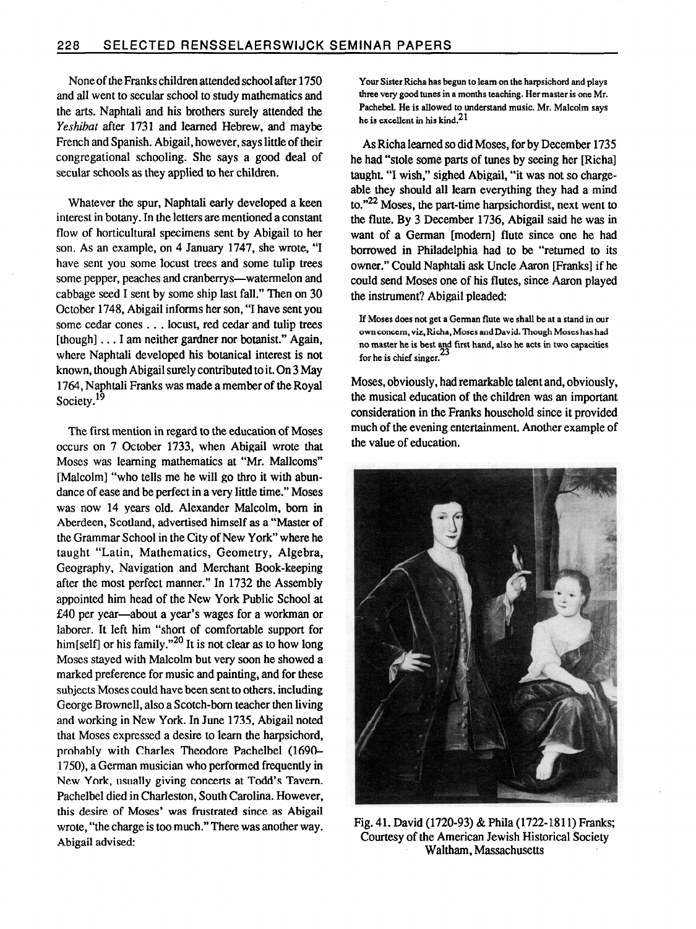None of theFranks children attended school after 1750 and all went to secular school to study mathematics and the arts. Naphtali and his brothers surely attended the Yeshibat after 1731 and learned Hebrew, and maybe French and Spanish. Abigail, however, says little of their congregational schooling. She says a good deal of secular schools as they applied to her children.

Whatever the spur, Naphtali early developed a keen interest in botany. In the letters are mentioned a constant flow of horticultural specimens sent by Abigail to her son. As an example, on 4 January 1747, she wrote, "I have sent you some locust trees and some tulip trees some pepper, peaches and cranberrys-watermelon and cabbage seed I sent by some ship last fall." Then on 30 October 1748, Abigail informs her son, "I have sent you some cedar cones . . . locust, red cedar and tulip trees [though] . . . I am neither gardner nor botanist." Again, where Naphtali developed his botanical interest is not known, though Abigail surely contributed to it. On 3 May 1764, Naphtali Franks was made a member of the Royal Society.<sup>19</sup>

The first mention in regard to the education of Moses occurs on 7 October 1733, when Abigail wrote that Moses was learning mathematics at "Mr. Mallcoms" [Malcolm] "who tells me he will go thro it with abundance of ease and be perfect in a very little time." Moses was now 14 years old. Alexander Malcolm, born in Aberdeen, Scotland, advertised himself as a "Master of the Grammar School in the City of New York" where he taught "Latin, Mathematics, Geometry, Algebra, Geography, Navigation and Merchant Book-keeping after the most perfect manner." In 1732 the Assembly appointed him head of the New York Public School at E40 per year-about a year's wages for a workman or laborer. It left him "short of comfortable support for him[self] or his family."<sup>20</sup> It is not clear as to how long Moses stayed with Malcolm but very soon he showed a marked preference for music and painting, and for these subjects Moses could have been sent to others, including George Brownell, also a Scotch-born teacher then living and working in New York. In June 1735, Abigail noted that Moses expressed a desire to learn the harpsichord, probably with Charles Theodore Pachelbel (1690- 1750), a German musician who performed frequently in New York, usually giving concerts at Todd's Tavern. Pachelbel died in Charleston, South Carolina. However, this desire of Moses' was frustrated since as Abigail wrote, "the charge is too much." There was another way. Abigail advised:

Your Sister Richa has begun to learn on the harpsichord and plays three very good tunes in a months teaching. Her master is one Mr. Pachebel. He is allowed to understand music. Mr. Malcolm says he is excellent in his kind.<sup>21</sup>

As Richaleamed so did Moses, for by December 1735 he had "stole some parts of tunes by seeing her [Richa] taught. "I wish," sighed Abigail, "it was not so chargeable they should all learn everything they had a mind to.<sup>"22</sup> Moses, the part-time harpsichordist, next went to the flute. By 3 December 1736, Abigail said he was in want of a German [modem] flute since one he had borrowed in Philadelphia had to be "returned to its owner." Could Naphtali ask Uncle Aaron [Franks] if he could send Moses one of his flutes, since Aaron played the instrument? Abigail pleaded:

If Moses does not get a German flute we shall be at a stand in our own concern, viz. Richa, Moses and David. Though Moses has had no master he is best and first hand, also he acts in two capacities for he is chief singer.

Moses, obviously, had remarkable talent and, obviously, the musical education of the children was an important consideration in the Franks household since it provided much of the evening entertainment. Another example of the value of education.



Fig. 41. David (1720-93) & Phila (1722-1811) Franks; Courtesy of the American Jewish Historical Society Waltham, Massachusetts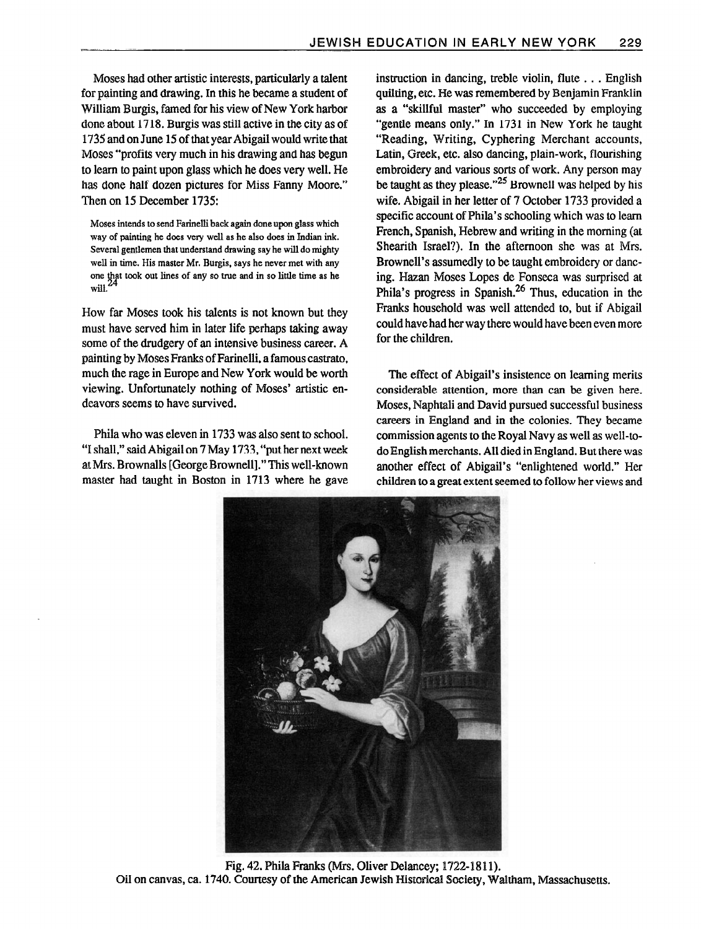Moses had other artistic interests, particularly a talent for painting and drawing. In this he became a student of William Burgis, famed for his view of New York harbor done about 1718. Burgis was still active in the city as of 1735 and on June 15 of that year Abigail would write that Moses "profits very much in his drawing and has begun to learn to paint upon glass which he does very well. He has done half dozen pictures for Miss Fanny Moore." Then on 15 December 1735:

Moses intends to send Farinelli back again done upon glass which way of painting he does very well as he also does in Indian ink. Several gentlemen that understand drawing say he will do mighty well in time. His master Mr. Burgis, says he never met with any one that took out lines of any so true and in so little time as he will.<sup>24</sup>

How far Moses took his dents is not known but they must have served him in later life perhaps taking away some of the drudgery of an intensive business career. A painting by Moses Franks of Farinelli, a famous castrate, much the rage in Europe and New York would be worth viewing. Unfortunately nothing of Moses' artistic endeavors seems to have survived.

Phila who was eleven in 1733 was also sent to school. "I shall," said Abigail on 7 May 1733,"put her next week at Mrs. Brownalls [George Brownell]." This well-known master had taught in Boston in 1713 where he gave instruction in dancing, treble violin, flute . . . English quilting, etc. He was remembered by Benjamin Franklin as a "skillful master" who succeeded by employing "gende means only." In 1731 in New York he taught "Reading, Writing, Cyphering Merchant accounts, Latin, Greek, etc. also dancing, plain-work, flourishing embroidery and various sorts of work. Any person may be taught as they please. $^{25}$  Brownell was helped by his wife. Abigail in her letter of 7 October 1733 provided a specific account of Phila's schooling which was to learn French, Spanish, Hebrew and writing in the morning (at Shearith Israel?). In the afternoon she was at Mrs. Brownell's assumedly to be taught embroidery or dancing. Hazan Moses Lopes de Fonseca was surprised at Phila's progress in Spanish.26 Thus, education in the Franks household was well attended to, but if Abigail could have had her way there would have been even more for the children.

The effect of Abigail's insistence on learning merits considerable attention, more than can be given here. Moses, Naphtali and David pursued successful business careers in England and in the colonies. They became commission agents to the Royal Navy as well as well-todo English merchants. All died in England. But there was another effect of Abigail's "enlightened world." Her children to a great extent seemed to follow her views and



Fig. 42. Phila Franks (Mrs. Oliver Delancey; 1722-1811). Oil on canvas, ca. 1740. Courtesy of the American Jewisb Historical Society, Waltham, Massachusetts.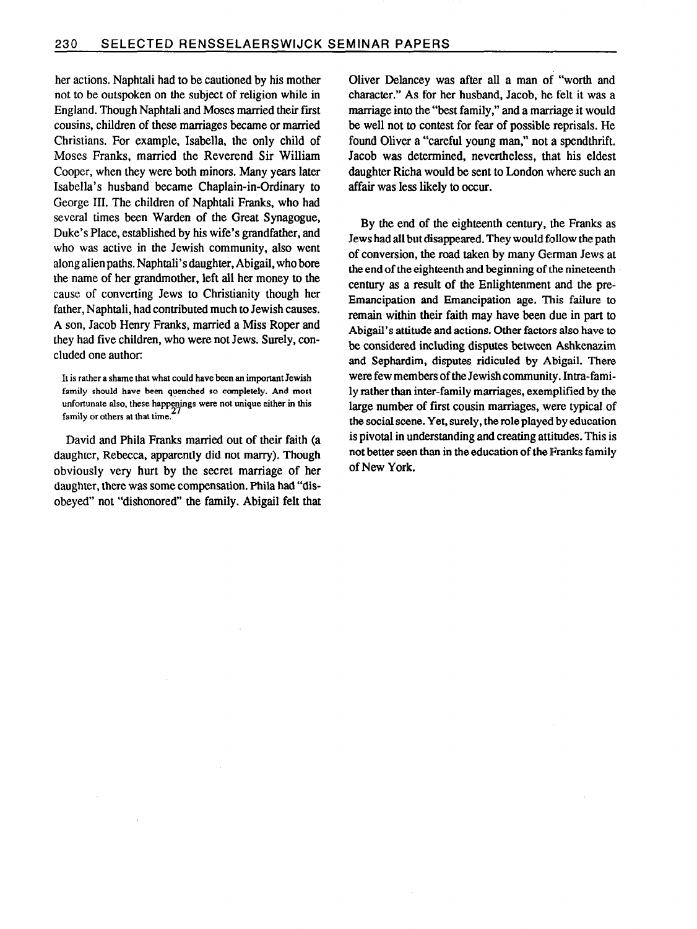her actions. Naphtali had to be cautioned by his mother not to be outspoken on the subject of religion while in England. Though Naphtali and Moses married their first cousins, children of these marriages became or married Christians. For example, Isabella, the only child of Moses Franks, married the Reverend Sir William Cooper, when they were both minors. Many years later Isabella's husband became Chaplain-in-Ordinary to George III. The children of Naphtali Franks, who had several times been Warden of the Great Synagogue, Duke's Place, established by his wife's grandfather, and who was active in the Jewish community, also went along alien paths. Naphtali's daughter, Abigail, who bore the name of her grandmother, left all her money to the cause of converting Jews to Christianity though her father, Naphtali, had contributed much to Jewish causes. A son, Jacob Henry Franks, married a Miss Roper and they had five children, who were not Jews. Surely, concluded one author:

David and Phila Franks married out of their faith (a daughter, Rebecca, apparently did not marry). Though obviously very hurt by the secret marriage of her daughter, there was some compensation. Phila had "disobeyed" not "dishonored" the family. Abigail felt that Oliver Delancey was after all a man of "worth and character." As for her husband, Jacob, he felt it was a marriage into the "best family," and a marriage it would be well not to contest for fear of possible reprisals. He found Oliver a "careful young man," not a spendthrift. Jacob was determined, nevertheless, that his eldest daughter Richa would be sent to London where such an affair was less likely to occur.

By the end of the eighteenth century, the Franks as Jews had all but disappeared. They would follow the path of conversion, the road taken by many German Jews at the end of the eighteenth and beginning of the nineteenth century as a result of the Enlightenment and the pre-Emancipation and Emancipation age. This failure to remain within their faith may have been due in part to Abigail's attitude and actions. Other factors also have to be considered including disputes between Ashkenazim and Sephardim, disputes ridiculed by Abigail. There were few members of the Jewish community. Intra-family rather than inter-family marriages, exemplified by the large number of first cousin marriages, were typical of the social scene. Yet, surely, the role played by education is pivotal in understanding and creating attitudes. This is not better seen than in the education of the Franks family of New York.

It is rather a shame that what could have been an important Jewish family should have been quenched so completely. And most unfortunate also, these happenings were not unique either in this family or others at that time.